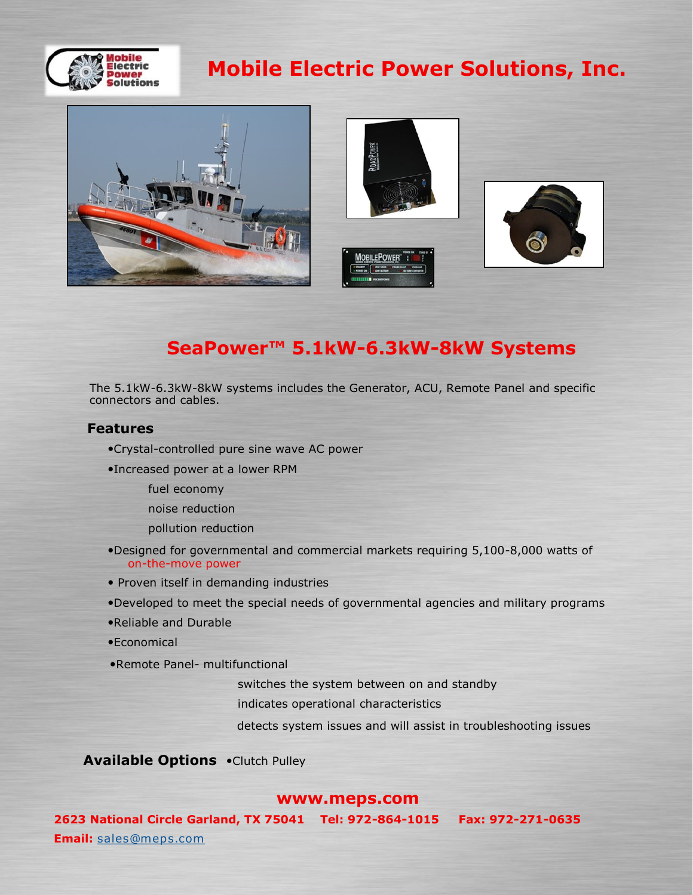

# **Mobile Electric Power Solutions, Inc.**







# **SeaPower™ 5.1kW-6.3kW-8kW Systems**

The 5.1kW-6.3kW-8kW systems includes the Generator, ACU, Remote Panel and specific connectors and cables.

## **Features**

- Crystal-controlled pure sine wave AC power
- Increased power at a lower RPM
	- fuel economy
	- noise reduction
	- pollution reduction
- Designed for governmental and commercial markets requiring 5,100-8,000 watts of on-the-move power
- Proven itself in demanding industries
- Developed to meet the special needs of governmental agencies and military programs
- Reliable and Durable
- Economical
- Remote Panel- multifunctional

switches the system between on and standby

indicates operational characteristics

detects system issues and will assist in troubleshooting issues

**Available Options . Clutch Pulley** 

## **www.meps.com**

**2623 National Circle Garland, TX 75041 Tel: 972-864-1015 Fax: 972-271-0635 Email:** [sales@meps.com](mailto:sales@meps.com)